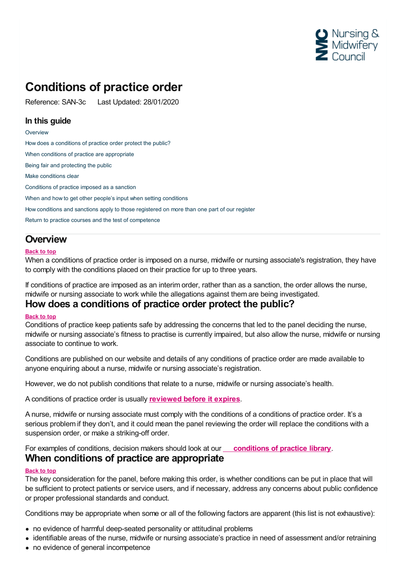

## **Conditions of practice order**

Reference: SAN-3c Last Updated: 28/01/2020

### **In this guide**

**[Overview](#page-0-0)** 

How does a [conditions](#page-0-1) of practice order protect the public? When conditions of practice are [appropriate](#page-0-2) Being fair and [protecting](#page-1-0) the public Make [conditions](#page-1-1) clear [Conditions](#page-2-0) of practice imposed as a sanction When and how to get other people's input when setting [conditions](#page-2-1) How [conditions](#page-4-0) and sanctions apply to those registered on more than one part of our register Return to practice courses and the test of [competence](#page-4-1)

## <span id="page-0-0"></span>**Overview**

### **Back to top**

When a conditions of practice order is imposed on a nurse, midwife or nursing associate's registration, they have to comply with the conditions placed on their practice for up to three years.

If conditions of practice are imposed as an interim order, rather than as a sanction, the order allows the nurse, midwife or nursing associate to work while the allegations against them are being investigated.

## <span id="page-0-1"></span>**How does a conditions of practice order protect the public?**

### **Back to top**

Conditions of practice keep patients safe by addressing the concerns that led to the panel deciding the nurse, midwife or nursing associate's fitness to practise is currently impaired, but also allow the nurse, midwife or nursing associate to continue to work.

Conditions are published on our website and details of any conditions of practice order are made available to anyone enquiring about a nurse, midwife or nursing associate's registration.

However, we do not publish conditions that relate to a nurse, midwife or nursing associate's health.

A conditions of practice order is usually **[reviewed](https://www.nmc.org.uk/ftp-library/sanctions/directing-reviews-of-substantive-orders/) before it expires**.

A nurse, midwife or nursing associate must comply with the conditions of a conditions of practice order. It's a serious problem if they don't, and it could mean the panel reviewing the order will replace the conditions with a suspension order, or make a striking-off order.

# <span id="page-0-2"></span>For examples of conditions, decision makers should look at our **[conditions](https://www.nmc.org.uk/globalassets/sitedocuments/ftp_information/conditions-of-practice-library-20190913.pdf) of practice library**. **When conditions of practice are appropriate**

### **Back to top**

The key consideration for the panel, before making this order, is whether conditions can be put in place that will be sufficient to protect patients or service users, and if necessary, address any concerns about public confidence or proper professional standards and conduct.

Conditions may be appropriate when some or all of the following factors are apparent (this list is not exhaustive):

- no evidence of harmful deep-seated personality or attitudinal problems
- identifiable areas of the nurse, midwife or nursing associate's practice in need of assessment and/or retraining
- no evidence of general incompetence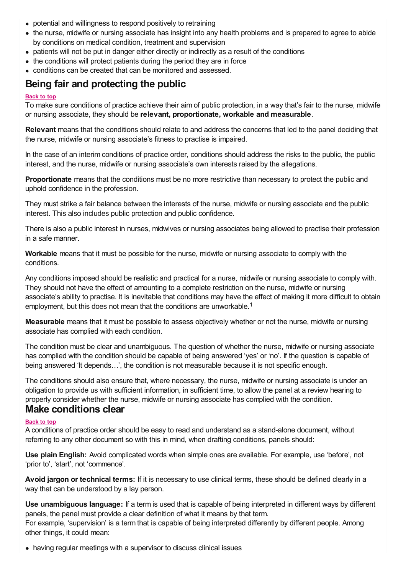- potential and willingness to respond positively to retraining
- the nurse, midwife or nursing associate has insight into any health problems and is prepared to agree to abide by conditions on medical condition, treatment and supervision
- patients will not be put in danger either directly or indirectly as a result of the conditions
- the conditions will protect patients during the period they are in force
- conditions can be created that can be monitored and assessed.

## <span id="page-1-0"></span>**Being fair and protecting the public**

### **Back to top**

To make sure conditions of practice achieve their aim of public protection, in a way that's fair to the nurse, midwife or nursing associate, they should be **relevant, proportionate, workable and measurable**.

**Relevant** means that the conditions should relate to and address the concerns that led to the panel deciding that the nurse, midwife or nursing associate's fitness to practise is impaired.

In the case of an interim conditions of practice order, conditions should address the risks to the public, the public interest, and the nurse, midwife or nursing associate's own interests raised by the allegations.

**Proportionate** means that the conditions must be no more restrictive than necessary to protect the public and uphold confidence in the profession.

They must strike a fair balance between the interests of the nurse, midwife or nursing associate and the public interest. This also includes public protection and public confidence.

There is also a public interest in nurses, midwives or nursing associates being allowed to practise their profession in a safe manner.

**Workable** means that it must be possible for the nurse, midwife or nursing associate to comply with the conditions.

Any conditions imposed should be realistic and practical for a nurse, midwife or nursing associate to comply with. They should not have the effect of amounting to a complete restriction on the nurse, midwife or nursing associate's ability to practise. It is inevitable that conditions may have the effect of making it more difficult to obtain employment, but this does not mean that the conditions are unworkable.<sup>1</sup>

**Measurable** means that it must be possible to assess objectively whether or not the nurse, midwife or nursing associate has complied with each condition.

The condition must be clear and unambiguous. The question of whether the nurse, midwife or nursing associate has complied with the condition should be capable of being answered 'yes' or 'no'. If the question is capable of being answered 'It depends...', the condition is not measurable because it is not specific enough.

The conditions should also ensure that, where necessary, the nurse, midwife or nursing associate is under an obligation to provide us with sufficient information, in sufficient time, to allow the panel at a review hearing to properly consider whether the nurse, midwife or nursing associate has complied with the condition. **Make conditions clear**

### <span id="page-1-1"></span>**Back to top**

A conditions of practice order should be easy to read and understand as a stand-alone document, without referring to any other document so with this in mind, when drafting conditions, panels should:

**Use plain English:** Avoid complicated words when simple ones are available. For example, use 'before', not 'prior to', 'start', not 'commence'.

**Avoid jargon or technical terms:** If it is necessary to use clinical terms, these should be defined clearly in a way that can be understood by a lay person.

**Use unambiguous language:** If a term is used that is capable of being interpreted in different ways by different panels, the panel must provide a clear definition of what it means by that term. For example, 'supervision' is a term that is capable of being interpreted differently by different people. Among other things, it could mean:

having regular meetings with a supervisor to discuss clinical issues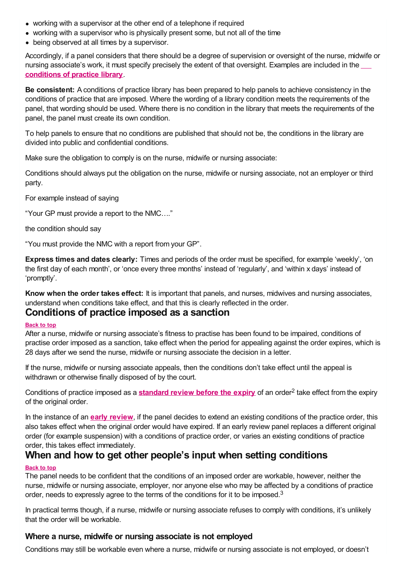- working with a supervisor at the other end of a telephone if required
- working with a supervisor who is physically present some, but not all of the time
- being observed at all times by a supervisor.

Accordingly, if a panel considers that there should be a degree of supervision or oversight of the nurse, midwife or nursing [associate's](https://www.nmc.org.uk/globalassets/sitedocuments/ftp_information/conditions-of-practice-library-20190913.pdf) work, it must specify precisely the extent of that oversight. Examples are included in the **conditions of practice library**.

**Be consistent:** A conditions of practice library has been prepared to help panels to achieve consistency in the conditions of practice that are imposed. Where the wording of a library condition meets the requirements of the panel, that wording should be used. Where there is no condition in the library that meets the requirements of the panel, the panel must create its own condition.

To help panels to ensure that no conditions are published that should not be, the conditions in the library are divided into public and confidential conditions.

Make sure the obligation to comply is on the nurse, midwife or nursing associate:

Conditions should always put the obligation on the nurse, midwife or nursing associate, not an employer or third party.

For example instead of saying

"Your GP must provide a report to the NMC…."

the condition should say

"You must provide the NMC with a report from your GP".

**Express times and dates clearly:** Times and periods of the order must be specified, for example 'weekly', 'on the first day of each month', or 'once every three months' instead of 'regularly', and 'within x days' instead of 'promptly'.

**Know when the order takes effect:** It is important that panels, and nurses, midwives and nursing associates, understand when conditions take effect, and that this is clearly reflected in the order.

## <span id="page-2-0"></span>**Conditions of practice imposed as a sanction**

#### **Back to top**

After a nurse, midwife or nursing associate's fitness to practise has been found to be impaired, conditions of practise order imposed as a sanction, take effect when the period for appealing against the order expires, which is 28 days after we send the nurse, midwife or nursing associate the decision in a letter.

If the nurse, midwife or nursing associate appeals, then the conditions don't take effect until the appeal is withdrawn or otherwise finally disposed of by the court.

Conditions of practice imposed as a **[standard](https://www.nmc.org.uk/ftp-library/reviews/substantive-order-reviews/standard-reviews-before-expiry/) review before the expiry** of an order<sup>2</sup> take effect from the expiry of the original order.

In the instance of an **early [review](https://www.nmc.org.uk/ftp-library/reviews/substantive-order-reviews/early-review/)**, if the panel decides to extend an existing conditions of the practice order, this also takes effect when the original order would have expired. If an early review panel replaces a different original order (for example suspension) with a conditions of practice order, or varies an existing conditions of practice

# <span id="page-2-1"></span>order, this takes effect immediately. **When and how to get other people's input when setting conditions**

### **Back to top**

The panel needs to be confident that the conditions of an imposed order are workable, however, neither the nurse, midwife or nursing associate, employer, nor anyone else who may be affected by a conditions of practice order, needs to expressly agree to the terms of the conditions for it to be imposed.<sup>3</sup>

In practical terms though, if a nurse, midwife or nursing associate refuses to comply with conditions, it's unlikely that the order will be workable.

### **Where a nurse, midwife or nursing associate is not employed**

Conditions may still be workable even where a nurse, midwife or nursing associate is not employed, or doesn't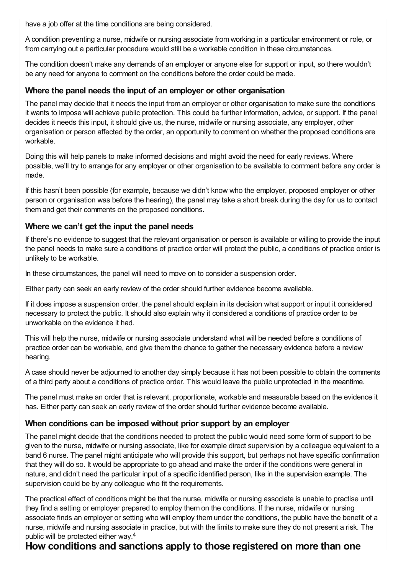have a job offer at the time conditions are being considered.

A condition preventing a nurse, midwife or nursing associate from working in a particular environment or role, or from carrying out a particular procedure would still be a workable condition in these circumstances.

The condition doesn't make any demands of an employer or anyone else for support or input, so there wouldn't be any need for anyone to comment on the conditions before the order could be made.

### **Where the panel needs the input of an employer or other organisation**

The panel may decide that it needs the input from an employer or other organisation to make sure the conditions it wants to impose will achieve public protection. This could be further information, advice, or support. If the panel decides it needs this input, it should give us, the nurse, midwife or nursing associate, any employer, other organisation or person affected by the order, an opportunity to comment on whether the proposed conditions are workable.

Doing this will help panels to make informed decisions and might avoid the need for early reviews. Where possible, we'll try to arrange for any employer or other organisation to be available to comment before any order is made.

If this hasn't been possible (for example, because we didn't know who the employer, proposed employer or other person or organisation was before the hearing), the panel may take a short break during the day for us to contact them and get their comments on the proposed conditions.

### **Where we can't get the input the panel needs**

If there's no evidence to suggest that the relevant organisation or person is available or willing to provide the input the panel needs to make sure a conditions of practice order will protect the public, a conditions of practice order is unlikely to be workable.

In these circumstances, the panel will need to move on to consider a suspension order.

Either party can seek an early review of the order should further evidence become available.

If it does impose a suspension order, the panel should explain in its decision what support or input it considered necessary to protect the public. It should also explain why it considered a conditions of practice order to be unworkable on the evidence it had.

This will help the nurse, midwife or nursing associate understand what will be needed before a conditions of practice order can be workable, and give them the chance to gather the necessary evidence before a review hearing.

A case should never be adjourned to another day simply because it has not been possible to obtain the comments of a third party about a conditions of practice order. This would leave the public unprotected in the meantime.

The panel must make an order that is relevant, proportionate, workable and measurable based on the evidence it has. Either party can seek an early review of the order should further evidence become available.

## **When conditions can be imposed without prior support by an employer**

The panel might decide that the conditions needed to protect the public would need some form of support to be given to the nurse, midwife or nursing associate, like for example direct supervision by a colleague equivalent to a band 6 nurse. The panel might anticipate who will provide this support, but perhaps not have specific confirmation that they will do so. It would be appropriate to go ahead and make the order if the conditions were general in nature, and didn't need the particular input of a specific identified person, like in the supervision example. The supervision could be by any colleague who fit the requirements.

The practical effect of conditions might be that the nurse, midwife or nursing associate is unable to practise until they find a setting or employer prepared to employ them on the conditions. If the nurse, midwife or nursing associate finds an employer or setting who will employ them under the conditions, the public have the benefit of a nurse, midwife and nursing associate in practice, but with the limits to make sure they do not present a risk. The public will be protected either way. 4

## **How conditions and sanctions apply to those registered on more than one**